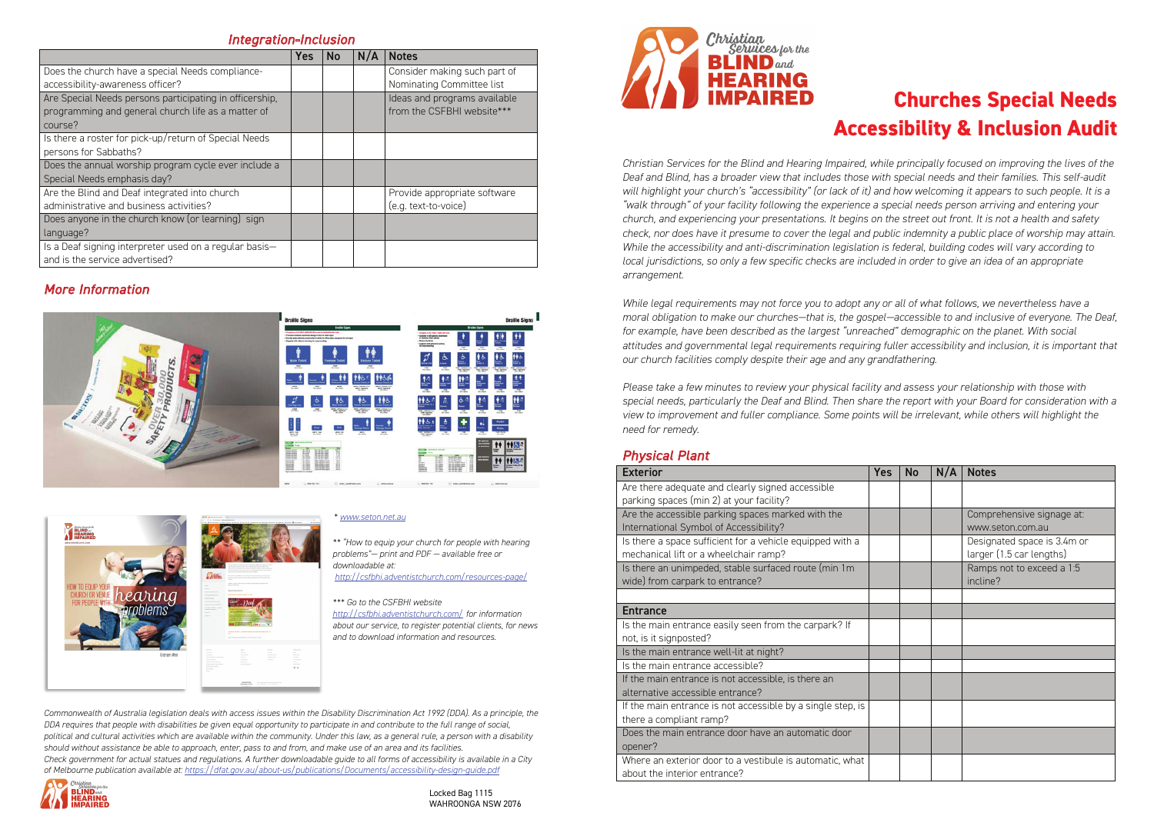# **Churches Special Needs Accessibility & Inclusion Audit**

*Christian Services for the Blind and Hearing Impaired, while principally focused on improving the lives of the Deaf and Blind, has a broader view that includes those with special needs and their families. This self-audit will highlight your church's "accessibility" (or lack of it) and how welcoming it appears to such people. It is a "walk through" of your facility following the experience a special needs person arriving and entering your church, and experiencing your presentations. It begins on the street out front. It is not a health and safety check, nor does have it presume to cover the legal and public indemnity a public place of worship may attain. While the accessibility and anti-discrimination legislation is federal, building codes will vary according to local jurisdictions, so only a few specific checks are included in order to give an idea of an appropriate arrangement.* 

*While legal requirements may not force you to adopt any or all of what follows, we nevertheless have a moral obligation to make our churches—that is, the gospel—accessible to and inclusive of everyone. The Deaf, for example, have been described as the largest "unreached" demographic on the planet. With social attitudes and governmental legal requirements requiring fuller accessibility and inclusion, it is important that our church facilities comply despite their age and any grandfathering.* 

#### Exterior Yes No N/A Notes Are there adequate and clearly signed accessible parking spaces (min 2) at your facility? Are the accessible parking spaces marked with the International Symbol of Accessibility? Is there a space sufficient for a vehicle equipped with a mechanical lift or a wheelchair ramp? Is there an unimpeded, stable surfaced route (min 1m wide) from carpark to entrance? **Entrance** Is the main entrance easily seen from the carpark? If not, is it signposted? Is the main entrance well-lit at night? Is the main entrance accessible? If the main entrance is not accessible, is there an alternative accessible entrance? If the main entrance is not accessible by a single step, is there a compliant ramp? Does the main entrance door have an automatic door opener? Where an exterior door to a vestibule is automatic, what about the interior entrance?

*Please take a few minutes to review your physical facility and assess your relationship with those with special needs, particularly the Deaf and Blind. Then share the report with your Board for consideration with a view to improvement and fuller compliance. Some points will be irrelevant, while others will highlight the need for remedy.*

#### *Physical Plant*

| <b>Yes</b> | <b>No</b> | N/A | <b>Notes</b>                                            |
|------------|-----------|-----|---------------------------------------------------------|
|            |           |     |                                                         |
|            |           |     | Comprehensive signage at:<br>www.seton.com.au           |
|            |           |     | Designated space is 3.4m or<br>larger (1.5 car lengths) |
|            |           |     | Ramps not to exceed a 1:5<br>incline?                   |
|            |           |     |                                                         |
|            |           |     |                                                         |
|            |           |     |                                                         |
|            |           |     |                                                         |
|            |           |     |                                                         |
|            |           |     |                                                         |
|            |           |     |                                                         |
|            |           |     |                                                         |
|            |           |     |                                                         |

### *Integration-Inclusion*

## *More Information*





#### *\* www.seton.net.au*

*\*\* "How to equip your church for people with hearing problems"— print and PDF — available free or downloadable at: http://csfbhi.adventistchurch.com/resources-page/*

#### *\*\*\* Go to the CSFBHI website*

*http://csfbhi.adventistchurch.com/ for information about our service, to register potential clients, for news and to download information and resources.*

*Commonwealth of Australia legislation deals with access issues within the Disability Discrimination Act 1992 (DDA). As a principle, the DDA requires that people with disabilities be given equal opportunity to participate in and contribute to the full range of social, political and cultural activities which are available within the community. Under this law, as a general rule, a person with a disability should without assistance be able to approach, enter, pass to and from, and make use of an area and its facilities. Check government for actual statues and regulations. A further downloadable guide to all forms of accessibility is available in a City of Melbourne publication available at: https://dfat.gov.au/about-us/publications/Documents/accessibility-design-guide.pdf*



|                                                         | <b>Yes</b> | <b>No</b> | N/A | <b>Notes</b>                 |
|---------------------------------------------------------|------------|-----------|-----|------------------------------|
| Does the church have a special Needs compliance-        |            |           |     | Consider making such part of |
| accessibility-awareness officer?                        |            |           |     | Nominating Committee list    |
| Are Special Needs persons participating in officership, |            |           |     | Ideas and programs available |
| programming and general church life as a matter of      |            |           |     | from the CSFBHI website***   |
| course?                                                 |            |           |     |                              |
| Is there a roster for pick-up/return of Special Needs   |            |           |     |                              |
| persons for Sabbaths?                                   |            |           |     |                              |
| Does the annual worship program cycle ever include a    |            |           |     |                              |
| Special Needs emphasis day?                             |            |           |     |                              |
| Are the Blind and Deaf integrated into church           |            |           |     | Provide appropriate software |
| administrative and business activities?                 |            |           |     | (e.g. text-to-voice)         |
| Does anyone in the church know (or learning) sign       |            |           |     |                              |
| language?                                               |            |           |     |                              |
| Is a Deaf signing interpreter used on a regular basis-  |            |           |     |                              |
| and is the service advertised?                          |            |           |     |                              |

Locked Bag 1115 WAHROONGA NSW 2076